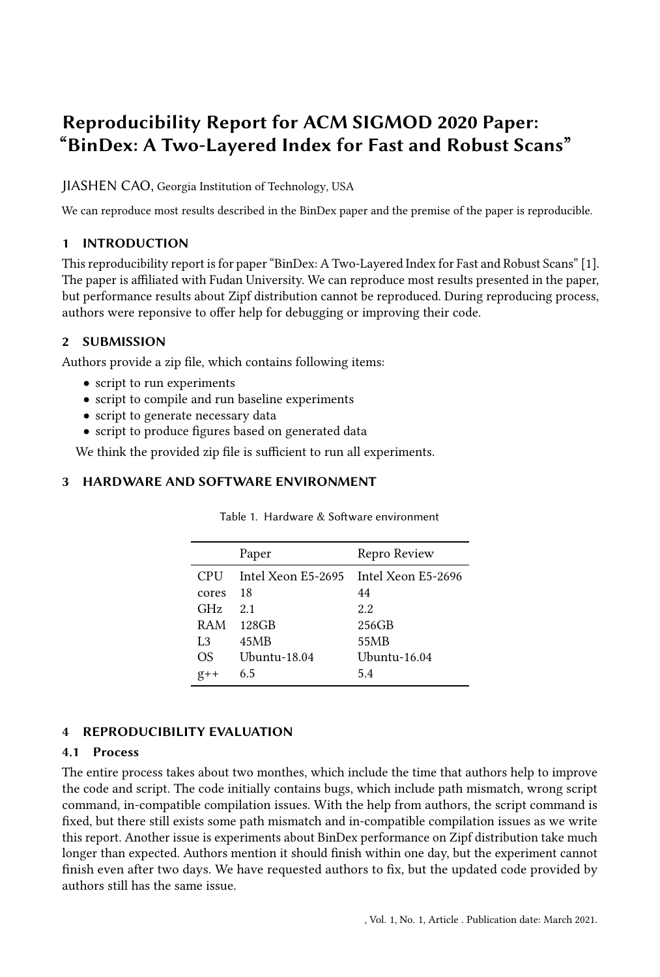# Reproducibility Report for ACM SIGMOD 2020 Paper: "BinDex: A Two-Layered Index for Fast and Robust Scans"

JIASHEN CAO, Georgia Institution of Technology, USA

We can reproduce most results described in the BinDex paper and the premise of the paper is reproducible.

## 1 INTRODUCTION

This reproducibility report is for paper "BinDex: A Two-Layered Index for Fast and Robust Scans" [\[1\]](#page-1-0). The paper is affiliated with Fudan University. We can reproduce most results presented in the paper, but performance results about Zipf distribution cannot be reproduced. During reproducing process, authors were reponsive to offer help for debugging or improving their code.

## 2 SUBMISSION

Authors provide a zip file, which contains following items:

- script to run experiments
- script to compile and run baseline experiments
- script to generate necessary data
- script to produce figures based on generated data

We think the provided zip file is sufficient to run all experiments.

### 3 HARDWARE AND SOFTWARE ENVIRONMENT

|                | Paper              | Repro Review       |
|----------------|--------------------|--------------------|
| <b>CPU</b>     | Intel Xeon E5-2695 | Intel Xeon E5-2696 |
| cores          | 18                 | 44                 |
| GHz.           | 2.1                | 2.2                |
| RAM            | 128GB              | 256GB              |
| L <sub>3</sub> | 45MB               | 55MB               |
| OS             | Ubuntu-18.04       | Ubuntu-16.04       |
| $g++$          | 6.5                | 5.4                |
|                |                    |                    |

Table 1. Hardware & Software environment

# 4 REPRODUCIBILITY EVALUATION

# 4.1 Process

The entire process takes about two monthes, which include the time that authors help to improve the code and script. The code initially contains bugs, which include path mismatch, wrong script command, in-compatible compilation issues. With the help from authors, the script command is fixed, but there still exists some path mismatch and in-compatible compilation issues as we write this report. Another issue is experiments about BinDex performance on Zipf distribution take much longer than expected. Authors mention it should finish within one day, but the experiment cannot finish even after two days. We have requested authors to fix, but the updated code provided by authors still has the same issue.